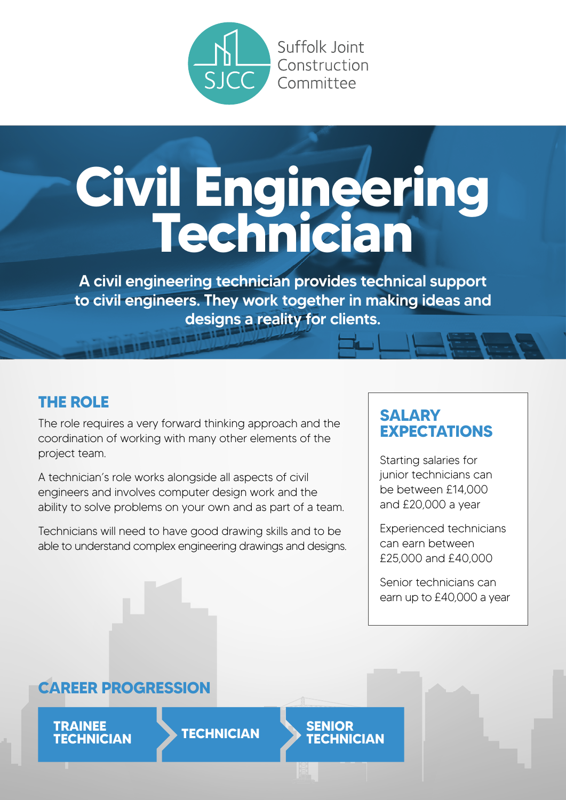

# **Civil Engineering Technician**

A civil engineering technician provides technical support to civil engineers. They work together in making ideas and designs a reality for clients.

# **THE ROLE**

The role requires a very forward thinking approach and the coordination of working with many other elements of the project team.

A technician's role works alongside all aspects of civil engineers and involves computer design work and the ability to solve problems on your own and as part of a team.

Technicians will need to have good drawing skills and to be able to understand complex engineering drawings and designs.

# **SALARY EXPECTATIONS**

Starting salaries for junior technicians can be between £14,000 and £20,000 a year

Experienced technicians can earn between £25,000 and £40,000

Senior technicians can earn up to £40,000 a year

# **CAREER PROGRESSION**

**TRAINEE TECHNICIAN TECHNICIAN SENIOR**

**TECHNICIAN**